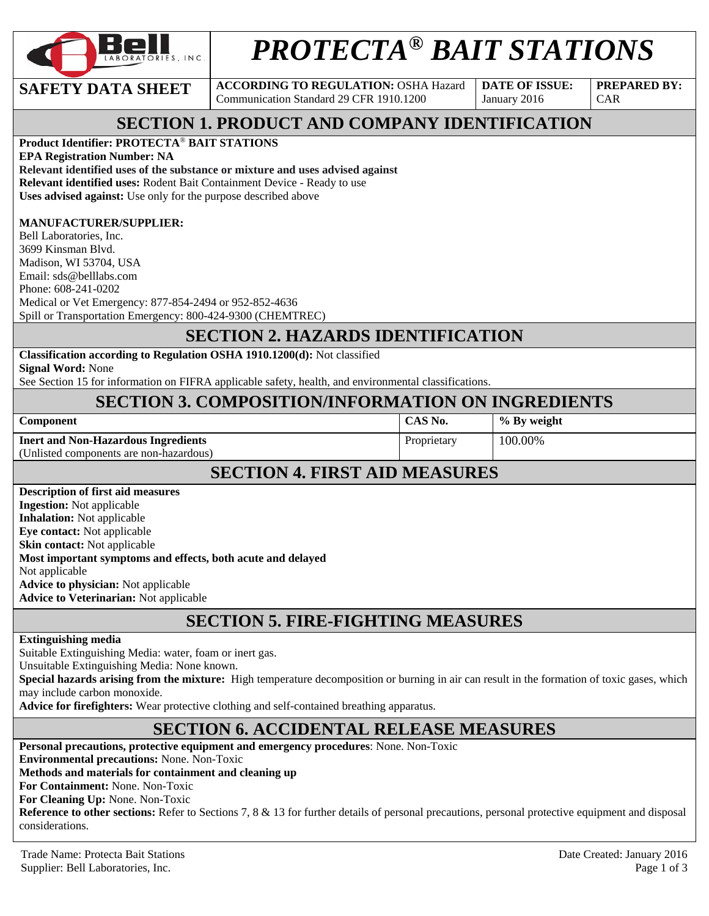

# *PROTECTA® BAIT STATIONS*

**SAFETY DATA SHEET** ACCORDING TO REGULATION: OSHA Hazard Communication Standard 29 CFR 1910.1200

**DATE OF ISSUE:**  January 2016

**PREPARED BY:**  CAR

# **SECTION 1. PRODUCT AND COMPANY IDENTIFICATION**

#### **Product Identifier: PROTECTA**® **BAIT STATIONS**

**EPA Registration Number: NA Relevant identified uses of the substance or mixture and uses advised against Relevant identified uses:** Rodent Bait Containment Device - Ready to use **Uses advised against:** Use only for the purpose described above

#### **MANUFACTURER/SUPPLIER:**

Bell Laboratories, Inc. 3699 Kinsman Blvd. Madison, WI 53704, USA Email: sds@belllabs.com Phone: 608-241-0202 Medical or Vet Emergency: 877-854-2494 or 952-852-4636 Spill or Transportation Emergency: 800-424-9300 (CHEMTREC)

#### **SECTION 2. HAZARDS IDENTIFICATION**

| Classification according to Regulation OSHA 1910.1200(d): Not classified |  |  |
|--------------------------------------------------------------------------|--|--|
|--------------------------------------------------------------------------|--|--|

**Signal Word:** None

See Section 15 for information on FIFRA applicable safety, health, and environmental classifications.

# **SECTION 3. COMPOSITION/INFORMATION ON INGREDIENTS**

| Component |
|-----------|
|-----------|

**Inert and Non-Hazardous Ingredients** 

Proprietary 100.00%

**CAS No.**  $\begin{array}{c} \circ \\ \circ \\ \circ \end{array}$  **CAS No.**  $\begin{array}{c} \circ \\ \circ \\ \circ \end{array}$  **Ey** weight

(Unlisted components are non-hazardous)

# **SECTION 4. FIRST AID MEASURES**

| <b>Description of first aid measures</b>                    |
|-------------------------------------------------------------|
| <b>Ingestion:</b> Not applicable                            |
| <b>Inhalation:</b> Not applicable                           |
| <b>Eve contact:</b> Not applicable                          |
| <b>Skin contact:</b> Not applicable                         |
| Most important symptoms and effects, both acute and delayed |
| Not applicable                                              |
| <b>Advice to physician:</b> Not applicable                  |
| <b>Advice to Veterinarian: Not applicable</b>               |

# **SECTION 5. FIRE-FIGHTING MEASURES**

#### **Extinguishing media**

Suitable Extinguishing Media: water, foam or inert gas.

Unsuitable Extinguishing Media: None known.

**Special hazards arising from the mixture:** High temperature decomposition or burning in air can result in the formation of toxic gases, which may include carbon monoxide.

**Advice for firefighters:** Wear protective clothing and self-contained breathing apparatus.

# **SECTION 6. ACCIDENTAL RELEASE MEASURES**

**Personal precautions, protective equipment and emergency procedures**: None. Non-Toxic **Environmental precautions:** None. Non-Toxic **Methods and materials for containment and cleaning up For Containment:** None. Non-Toxic **For Cleaning Up:** None. Non-Toxic **Reference to other sections:** Refer to Sections 7, 8 & 13 for further details of personal precautions, personal protective equipment and disposal considerations.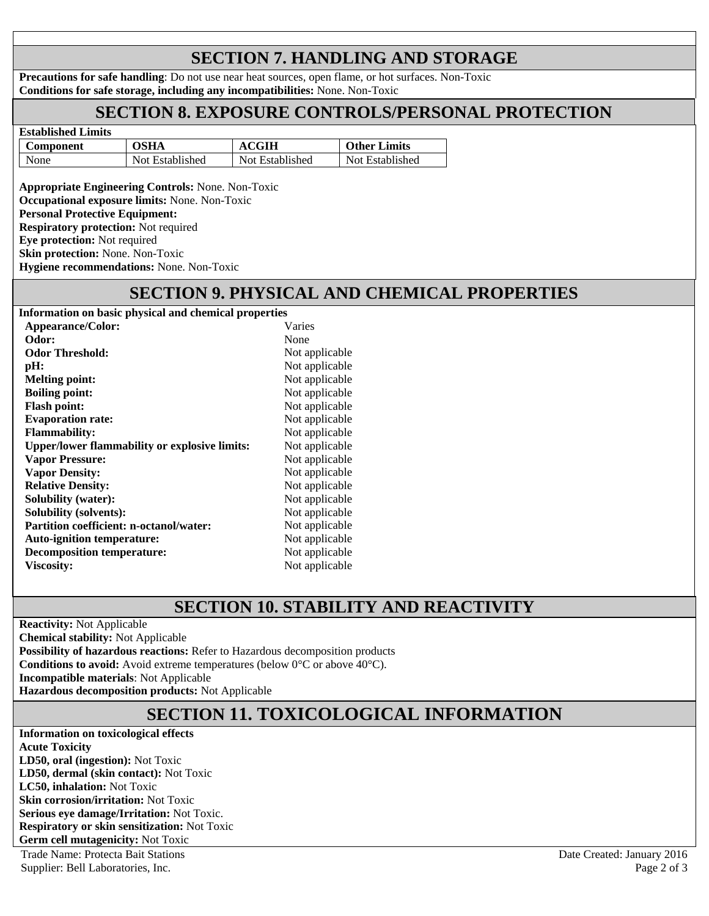# **SECTION 7. HANDLING AND STORAGE**

**Precautions for safe handling**: Do not use near heat sources, open flame, or hot surfaces. Non-Toxic **Conditions for safe storage, including any incompatibilities:** None. Non-Toxic

# **SECTION 8. EXPOSURE CONTROLS/PERSONAL PROTECTION**

| Established Limits |                 |                 |                     |  |
|--------------------|-----------------|-----------------|---------------------|--|
| Component          | OSHA            | ACGIH           | <b>Other Limits</b> |  |
| None               | Not Established | Not Established | Not Established     |  |

**Appropriate Engineering Controls:** None. Non-Toxic **Occupational exposure limits:** None. Non-Toxic **Personal Protective Equipment: Respiratory protection:** Not required **Eye protection:** Not required **Skin protection:** None. Non-Toxic **Hygiene recommendations:** None. Non-Toxic

**Established Limits** 

# **SECTION 9. PHYSICAL AND CHEMICAL PROPERTIES**

| Information on basic physical and chemical properties |                |
|-------------------------------------------------------|----------------|
| Appearance/Color:                                     | Varies         |
| Odor:                                                 | None           |
| <b>Odor Threshold:</b>                                | Not applicable |
| pH:                                                   | Not applicable |
| <b>Melting point:</b>                                 | Not applicable |
| <b>Boiling point:</b>                                 | Not applicable |
| <b>Flash point:</b>                                   | Not applicable |
| <b>Evaporation rate:</b>                              | Not applicable |
| <b>Flammability:</b>                                  | Not applicable |
| <b>Upper/lower flammability or explosive limits:</b>  | Not applicable |
| <b>Vapor Pressure:</b>                                | Not applicable |
| <b>Vapor Density:</b>                                 | Not applicable |
| <b>Relative Density:</b>                              | Not applicable |
| <b>Solubility (water):</b>                            | Not applicable |
| <b>Solubility (solvents):</b>                         | Not applicable |
| <b>Partition coefficient: n-octanol/water:</b>        | Not applicable |
| <b>Auto-ignition temperature:</b>                     | Not applicable |
| <b>Decomposition temperature:</b>                     | Not applicable |
| <b>Viscosity:</b>                                     | Not applicable |
|                                                       |                |

# **SECTION 10. STABILITY AND REACTIVITY**

**Reactivity:** Not Applicable **Chemical stability:** Not Applicable **Possibility of hazardous reactions:** Refer to Hazardous decomposition products **Conditions to avoid:** Avoid extreme temperatures (below 0°C or above 40°C). **Incompatible materials**: Not Applicable **Hazardous decomposition products:** Not Applicable

# **SECTION 11. TOXICOLOGICAL INFORMATION**

**Information on toxicological effects Acute Toxicity LD50, oral (ingestion):** Not Toxic **LD50, dermal (skin contact):** Not Toxic **LC50, inhalation:** Not Toxic **Skin corrosion/irritation:** Not Toxic **Serious eye damage/Irritation:** Not Toxic. **Respiratory or skin sensitization:** Not Toxic **Germ cell mutagenicity:** Not Toxic

Trade Name: Protecta Bait Stations Date Created: January 2016 Supplier: Bell Laboratories, Inc. Page 2 of 3